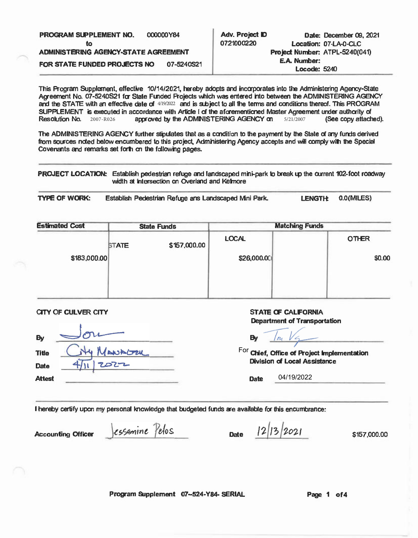| <b>PROGRAM SUPPLEMENT NO.</b><br>τo  | 000000Y84  | Adv. Project ID<br>0721000220 | Date: December 09, 2021<br>Location: 07-LA-0-CLC |
|--------------------------------------|------------|-------------------------------|--------------------------------------------------|
| ADMINISTERING AGENCY-STATE AGREEMENT |            |                               | Project Number: ATPL-5240(041)                   |
| FOR STATE FUNDED PROJECTS NO         | 07-5240S21 |                               | E.A. Number:                                     |
|                                      |            |                               | Locode: 5240                                     |

This Program Supplement, effective 10/14/2021, hereby adopts and incorporates into the Administering Agency-State Agreement No. 07-5240S21 for State Funded Projects which was entered into between the ADMINISTERING AGENCY and the STATE with an effective date of  $4/19/2022$  and is subject to all the terms and conditions thereof. This PROGRAM SUPPLEMENT is executed in accordance with Article I of the aforementioned Master Agreement under authority of Resolution No.  $2007 - R026$  approved by the ADMINISTERING AGENCY on  $5/21/2007$  (See copy attached). Resolution No. 2007-R026

The ADMINISTERING AGENCY further stipulates that as a condition to the payment by the State of any funds derived from sources noted below encumbered to this project, Administering Agency accepts and will comply with the Special Covenants and remarks set forth on the following pages.

PROJECT LOCATION: Establish pedestrian refuge and landscaped mini-park to break up the current 102-foot roadway width at intersection on Overland and Kelmore

**TYPE OF WORK:** lish Pedestrian Refuge ans Landscaped Mini Park. LENGTH: 0.0(MILES)

| <b>State Funds</b> |              | <b>Matching Funds</b> |  |              |
|--------------------|--------------|-----------------------|--|--------------|
| <b>STATE</b>       | \$157,000.00 | <b>LOCAL</b>          |  | <b>OTHER</b> |
|                    |              | \$26,000.00           |  | \$0.00       |
|                    |              |                       |  |              |
|                    |              |                       |  |              |

CITY OF CULVER CITY

| By            | ni      |  |
|---------------|---------|--|
| <b>Title</b>  | MANAGER |  |
| Date          | 2022    |  |
| <b>Attest</b> |         |  |

## STATE OF CALIFORNIA Department of Transportation

**By** 

**Chief, Office of Project implementation**  For **Division of Local Assistance** 

**Date**  04/19/2022

I hereby certify upon my personal knowledge that budgeted funds are available for this encumbrance:

**Accounting Officer** *CSSamine Pelos* **Date**  $12/13/2021$  \$157,000.00

Program Supplement 07-524-Y84- SERIAL Page 1 of 4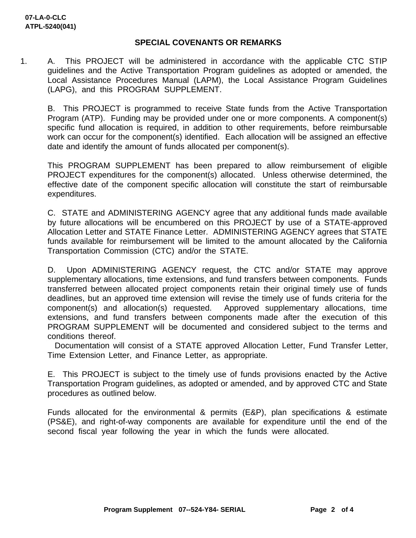## **SPECIAL COVENANTS OR REMARKS**

1. A. This PROJECT will be administered in accordance with the applicable CTC STIP guidelines and the Active Transportation Program guidelines as adopted or amended, the Local Assistance Procedures Manual (LAPM), the Local Assistance Program Guidelines (LAPG), and this PROGRAM SUPPLEMENT.

B. This PROJECT is programmed to receive State funds from the Active Transportation Program (ATP). Funding may be provided under one or more components. A component(s) specific fund allocation is required, in addition to other requirements, before reimbursable work can occur for the component(s) identified. Each allocation will be assigned an effective date and identify the amount of funds allocated per component(s).

This PROGRAM SUPPLEMENT has been prepared to allow reimbursement of eligible PROJECT expenditures for the component(s) allocated. Unless otherwise determined, the effective date of the component specific allocation will constitute the start of reimbursable expenditures.

C. STATE and ADMINISTERING AGENCY agree that any additional funds made available by future allocations will be encumbered on this PROJECT by use of a STATE-approved Allocation Letter and STATE Finance Letter. ADMINISTERING AGENCY agrees that STATE funds available for reimbursement will be limited to the amount allocated by the California Transportation Commission (CTC) and/or the STATE.

D. Upon ADMINISTERING AGENCY request, the CTC and/or STATE may approve supplementary allocations, time extensions, and fund transfers between components. Funds transferred between allocated project components retain their original timely use of funds deadlines, but an approved time extension will revise the timely use of funds criteria for the component(s) and allocation(s) requested. Approved supplementary allocations, time extensions, and fund transfers between components made after the execution of this PROGRAM SUPPLEMENT will be documented and considered subject to the terms and conditions thereof.

 Documentation will consist of a STATE approved Allocation Letter, Fund Transfer Letter, Time Extension Letter, and Finance Letter, as appropriate.

E. This PROJECT is subject to the timely use of funds provisions enacted by the Active Transportation Program guidelines, as adopted or amended, and by approved CTC and State procedures as outlined below.

Funds allocated for the environmental & permits (E&P), plan specifications & estimate (PS&E), and right-of-way components are available for expenditure until the end of the second fiscal year following the year in which the funds were allocated.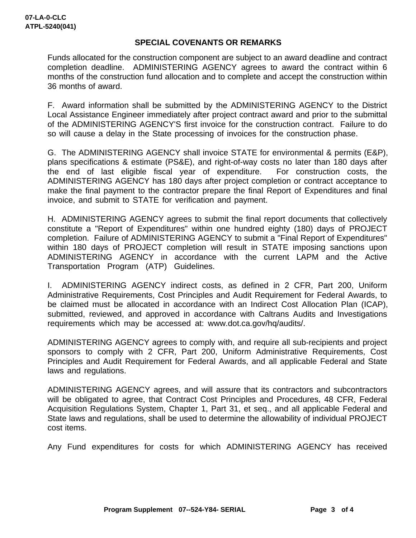## **SPECIAL COVENANTS OR REMARKS**

Funds allocated for the construction component are subject to an award deadline and contract completion deadline. ADMINISTERING AGENCY agrees to award the contract within 6 months of the construction fund allocation and to complete and accept the construction within 36 months of award.

F. Award information shall be submitted by the ADMINISTERING AGENCY to the District Local Assistance Engineer immediately after project contract award and prior to the submittal of the ADMINISTERING AGENCY'S first invoice for the construction contract. Failure to do so will cause a delay in the State processing of invoices for the construction phase.

G. The ADMINISTERING AGENCY shall invoice STATE for environmental & permits (E&P), plans specifications & estimate (PS&E), and right-of-way costs no later than 180 days after the end of last eligible fiscal year of expenditure. For construction costs, the ADMINISTERING AGENCY has 180 days after project completion or contract acceptance to make the final payment to the contractor prepare the final Report of Expenditures and final invoice, and submit to STATE for verification and payment.

H. ADMINISTERING AGENCY agrees to submit the final report documents that collectively constitute a "Report of Expenditures" within one hundred eighty (180) days of PROJECT completion. Failure of ADMINISTERING AGENCY to submit a "Final Report of Expenditures" within 180 days of PROJECT completion will result in STATE imposing sanctions upon ADMINISTERING AGENCY in accordance with the current LAPM and the Active Transportation Program (ATP) Guidelines.

I. ADMINISTERING AGENCY indirect costs, as defined in 2 CFR, Part 200, Uniform Administrative Requirements, Cost Principles and Audit Requirement for Federal Awards, to be claimed must be allocated in accordance with an Indirect Cost Allocation Plan (ICAP), submitted, reviewed, and approved in accordance with Caltrans Audits and Investigations requirements which may be accessed at: www.dot.ca.gov/hq/audits/.

ADMINISTERING AGENCY agrees to comply with, and require all sub-recipients and project sponsors to comply with 2 CFR, Part 200, Uniform Administrative Requirements, Cost Principles and Audit Requirement for Federal Awards, and all applicable Federal and State laws and regulations.

ADMINISTERING AGENCY agrees, and will assure that its contractors and subcontractors will be obligated to agree, that Contract Cost Principles and Procedures, 48 CFR, Federal Acquisition Regulations System, Chapter 1, Part 31, et seq., and all applicable Federal and State laws and regulations, shall be used to determine the allowability of individual PROJECT cost items.

Any Fund expenditures for costs for which ADMINISTERING AGENCY has received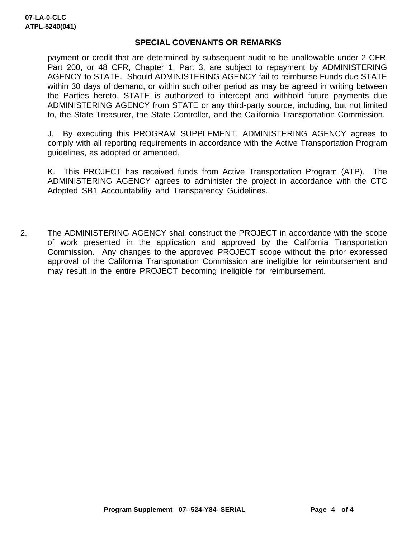## **SPECIAL COVENANTS OR REMARKS**

payment or credit that are determined by subsequent audit to be unallowable under 2 CFR, Part 200, or 48 CFR, Chapter 1, Part 3, are subject to repayment by ADMINISTERING AGENCY to STATE. Should ADMINISTERING AGENCY fail to reimburse Funds due STATE within 30 days of demand, or within such other period as may be agreed in writing between the Parties hereto, STATE is authorized to intercept and withhold future payments due ADMINISTERING AGENCY from STATE or any third-party source, including, but not limited to, the State Treasurer, the State Controller, and the California Transportation Commission.

J. By executing this PROGRAM SUPPLEMENT, ADMINISTERING AGENCY agrees to comply with all reporting requirements in accordance with the Active Transportation Program guidelines, as adopted or amended.

K. This PROJECT has received funds from Active Transportation Program (ATP). The ADMINISTERING AGENCY agrees to administer the project in accordance with the CTC Adopted SB1 Accountability and Transparency Guidelines.

2. The ADMINISTERING AGENCY shall construct the PROJECT in accordance with the scope of work presented in the application and approved by the California Transportation Commission. Any changes to the approved PROJECT scope without the prior expressed approval of the California Transportation Commission are ineligible for reimbursement and may result in the entire PROJECT becoming ineligible for reimbursement.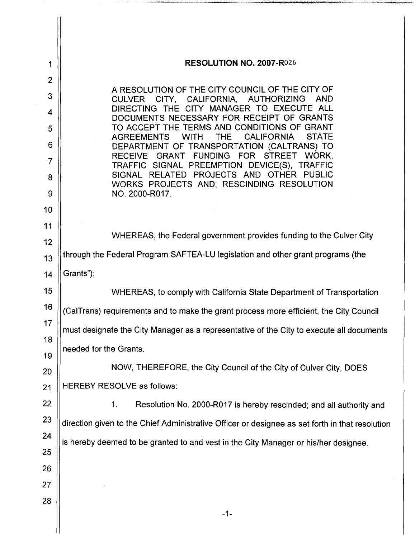| 1              | <b>RESOLUTION NO. 2007-R026</b>                                                                                                    |
|----------------|------------------------------------------------------------------------------------------------------------------------------------|
| $\overline{2}$ |                                                                                                                                    |
| 3              | A RESOLUTION OF THE CITY COUNCIL OF THE CITY OF<br><b>AND</b><br><b>CULVER</b><br>CITY, CALIFORNIA,<br>AUTHORIZING                 |
| 4              | DIRECTING THE CITY MANAGER TO EXECUTE ALL<br>DOCUMENTS NECESSARY FOR RECEIPT OF GRANTS                                             |
| 5              | TO ACCEPT THE TERMS AND CONDITIONS OF GRANT<br><b>THE</b><br><b>CALIFORNIA</b><br><b>STATE</b><br><b>AGREEMENTS</b><br><b>WITH</b> |
| 6              | DEPARTMENT OF TRANSPORTATION (CALTRANS) TO                                                                                         |
| 7              | WORK,<br><b>RECEIVE</b><br>GRANT<br>FUNDING FOR STREET<br>TRAFFIC SIGNAL PREEMPTION DEVICE(S), TRAFFIC                             |
| 8              | SIGNAL RELATED PROJECTS AND OTHER PUBLIC<br>WORKS PROJECTS AND; RESCINDING RESOLUTION                                              |
| 9              | NO. 2000-R017.                                                                                                                     |
| 10<br>11       |                                                                                                                                    |
| 12             | WHEREAS, the Federal government provides funding to the Culver City                                                                |
| 13             | through the Federal Program SAFTEA-LU legislation and other grant programs (the                                                    |
| 14             | Grants");                                                                                                                          |
| 15             | WHEREAS, to comply with California State Department of Transportation                                                              |
| 16             | (CalTrans) requirements and to make the grant process more efficient, the City Council                                             |
| 17             | must designate the City Manager as a representative of the City to execute all documents                                           |
| 18<br>19       | needed for the Grants.                                                                                                             |
| 20             | NOW, THEREFORE, the City Council of the City of Culver City, DOES                                                                  |
| 21             | <b>HEREBY RESOLVE as follows:</b>                                                                                                  |
| 22             | 1 <sub>1</sub><br>Resolution No. 2000-R017 is hereby rescinded; and all authority and                                              |
| 23             | direction given to the Chief Administrative Officer or designee as set forth in that resolution                                    |
| 24             | is hereby deemed to be granted to and vest in the City Manager or his/her designee.                                                |
| 25             |                                                                                                                                    |
| 26             |                                                                                                                                    |
| 27<br>28       |                                                                                                                                    |
|                | $-1-$                                                                                                                              |
|                |                                                                                                                                    |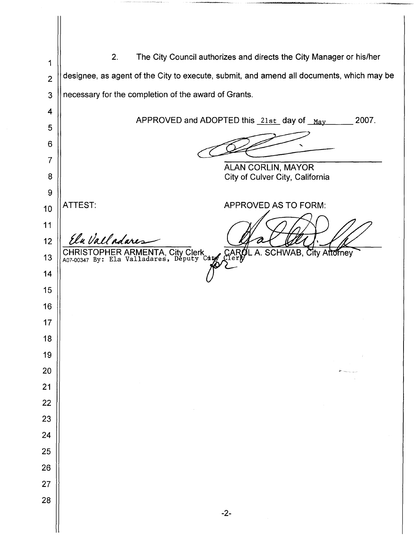2. The City Council authorizes and directs the City Manager or his/her designee, as agent of the City to execute, submit, and amend all documents, which may be necessary for the completion of the award of Grants. APPROVED and ADOPTED this  $21st$  day of  $_{\text{May}}$  2007. ALAN CORLIN, MAYOR City of Culver City, California ATTEST: APPROVED AS TO FORM: MN**<sup>41</sup>** Elu Valladar CHRISTOPHER ARMENTA, City Clerk L  $\mathcal{L}$  CAROL A. SCHWAB, City Attorney A07-00347 By: Ela Valladares, Députy Co -2-